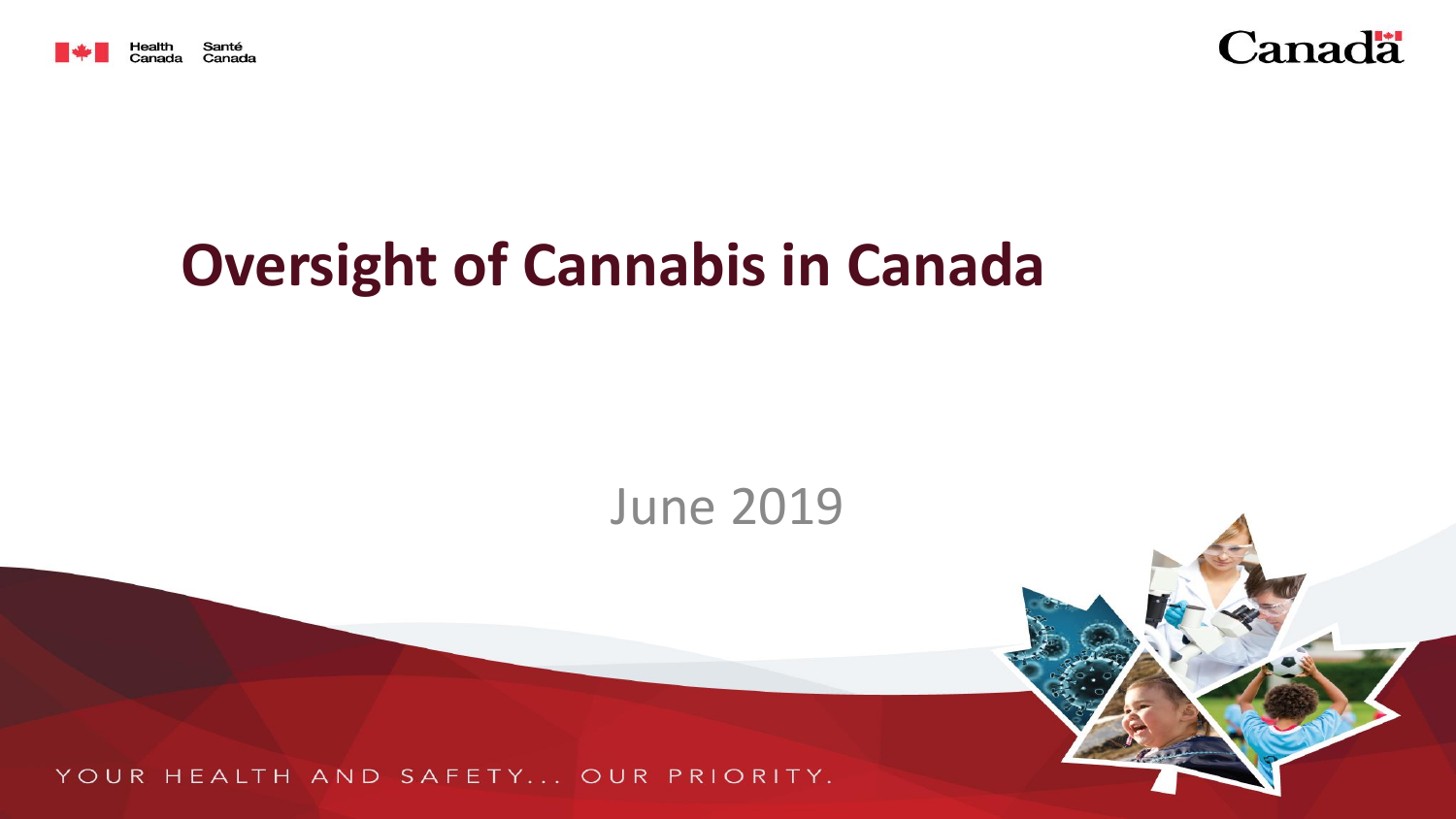



# **Oversight of Cannabis in Canada**

## June 2019

YOUR HEALTH AND SAFETY... OUR PRIORITY.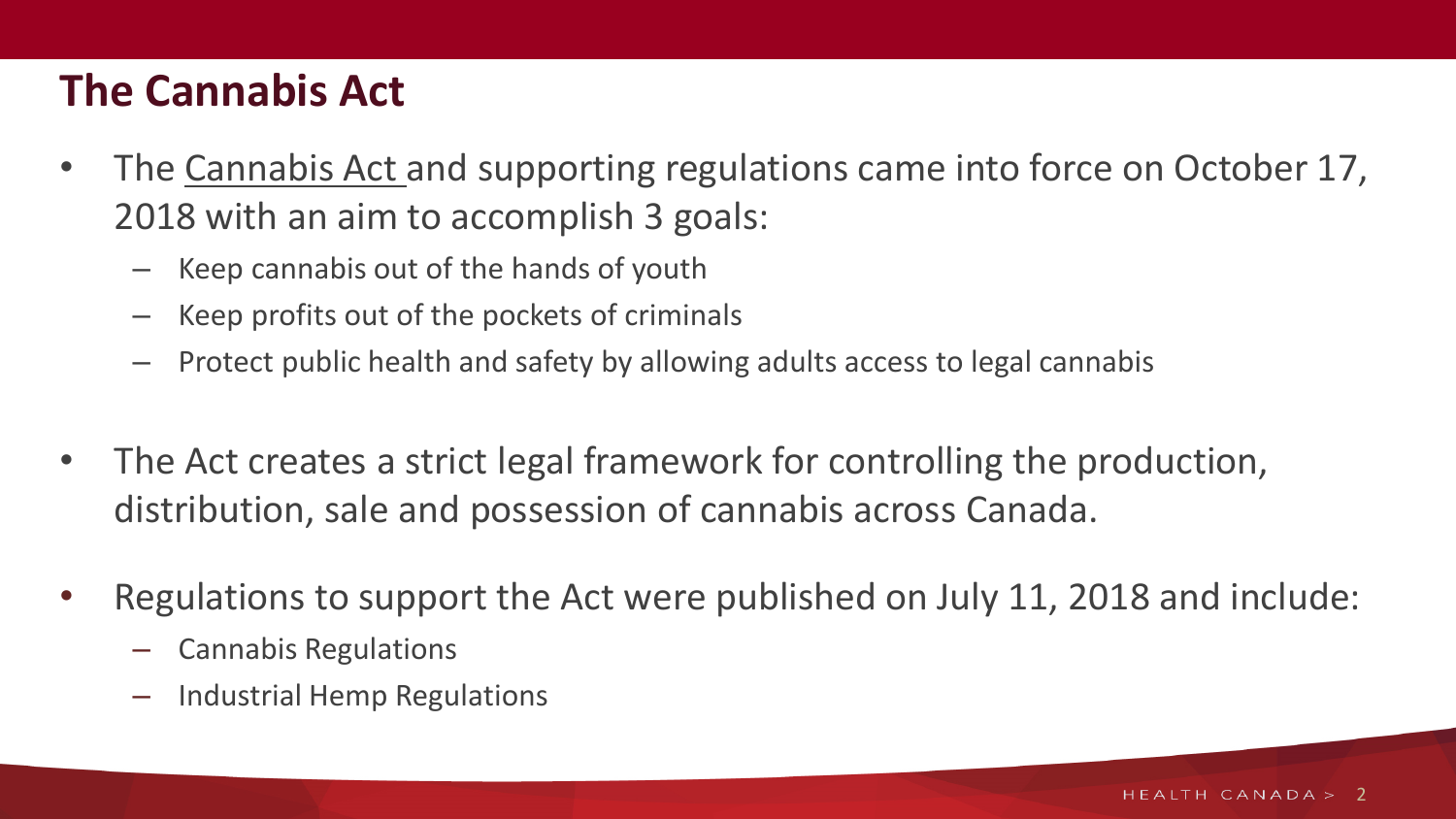## **The Cannabis Act**

- The Cannabis Act and supporting regulations came into force on October 17, 2018 with an aim to accomplish 3 goals:
	- Keep cannabis out of the hands of youth
	- Keep profits out of the pockets of criminals
	- Protect public health and safety by allowing adults access to legal cannabis
- The Act creates a strict legal framework for controlling the production, distribution, sale and possession of cannabis across Canada.
- Regulations to support the Act were published on July 11, 2018 and include:
	- Cannabis Regulations
	- Industrial Hemp Regulations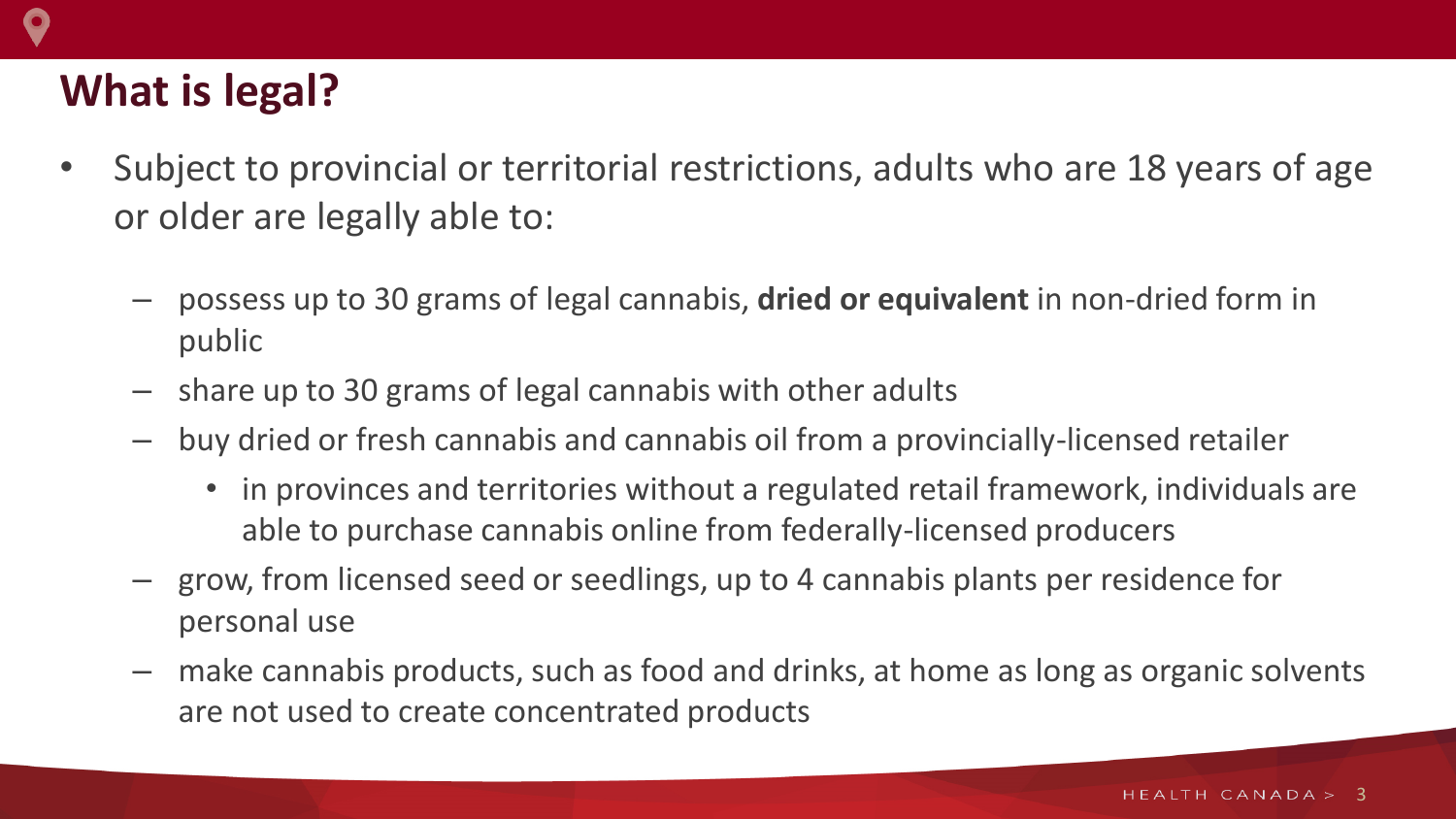## **What is legal?**

- Subject to provincial or territorial restrictions, adults who are 18 years of age or older are legally able to:
	- possess up to 30 grams of legal cannabis, **dried or equivalent** in non-dried form in public
	- share up to 30 grams of legal cannabis with other adults
	- buy dried or fresh cannabis and cannabis oil from a provincially-licensed retailer
		- in provinces and territories without a regulated retail framework, individuals are able to purchase cannabis online from federally-licensed producers
	- grow, from licensed seed or seedlings, up to 4 cannabis plants per residence for personal use
	- make cannabis products, such as food and drinks, at home as long as organic solvents are not used to create concentrated products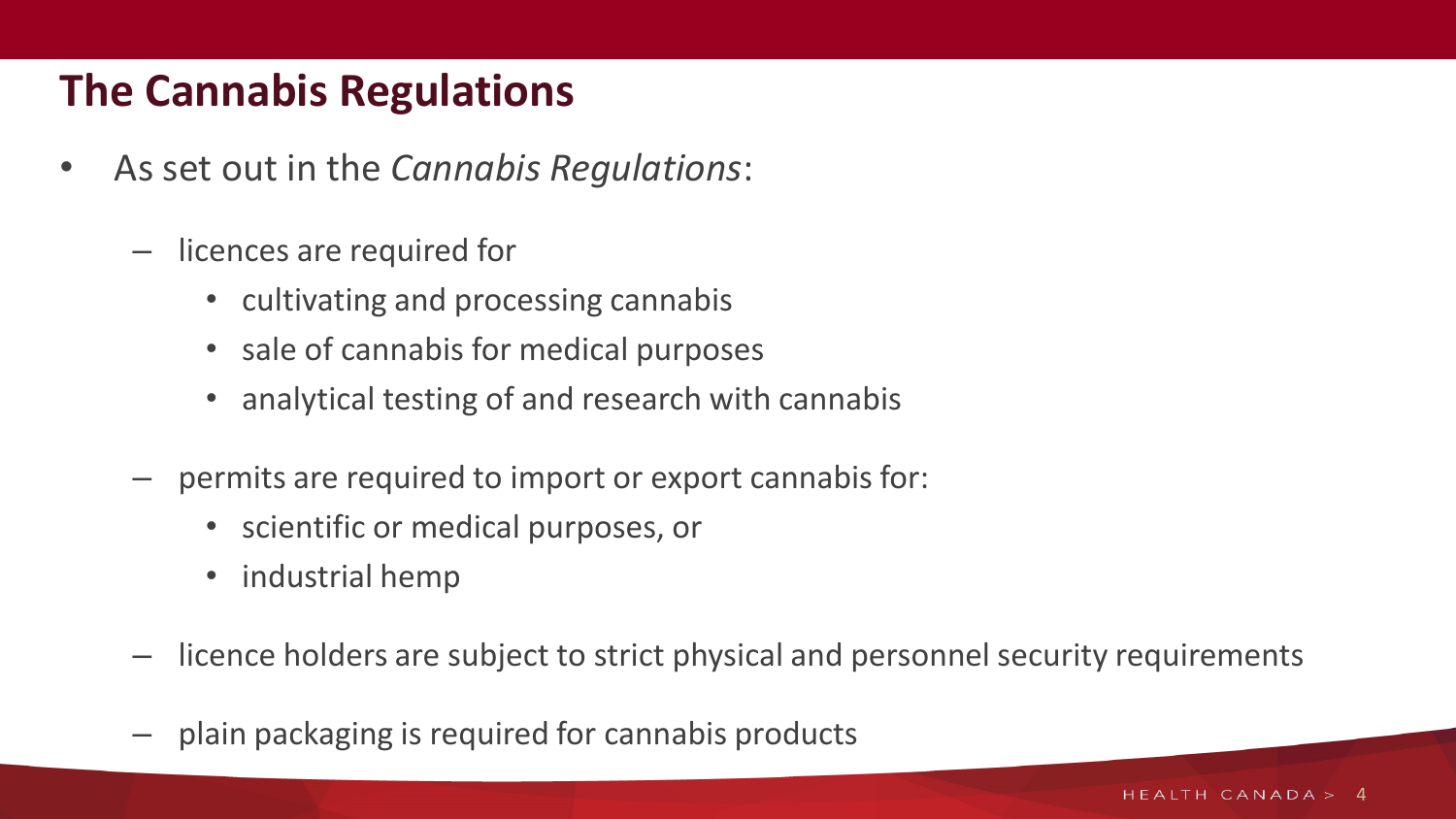## **The Cannabis Regulations**

- As set out in the *Cannabis Regulations*:
	- licences are required for
		- cultivating and processing cannabis
		- sale of cannabis for medical purposes
		- analytical testing of and research with cannabis
	- permits are required to import or export cannabis for:
		- scientific or medical purposes, or
		- industrial hemp
	- licence holders are subject to strict physical and personnel security requirements
	- plain packaging is required for cannabis products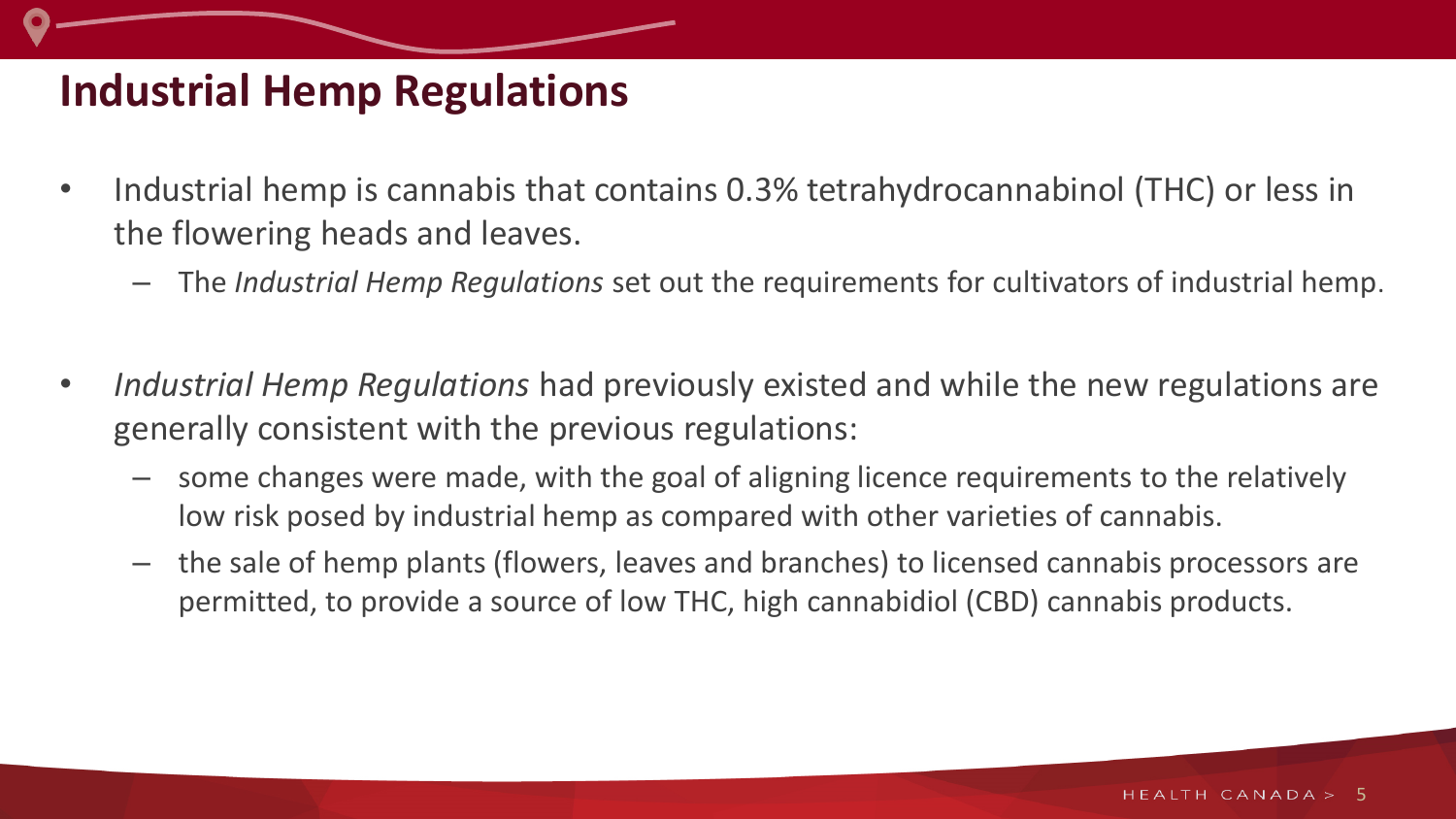#### **Industrial Hemp Regulations**

- Industrial hemp is cannabis that contains 0.3% tetrahydrocannabinol (THC) or less in the flowering heads and leaves.
	- The *Industrial Hemp Regulations* set out the requirements for cultivators of industrial hemp.
- *Industrial Hemp Regulations* had previously existed and while the new regulations are generally consistent with the previous regulations:
	- some changes were made, with the goal of aligning licence requirements to the relatively low risk posed by industrial hemp as compared with other varieties of cannabis.
	- the sale of hemp plants (flowers, leaves and branches) to licensed cannabis processors are permitted, to provide a source of low THC, high cannabidiol (CBD) cannabis products.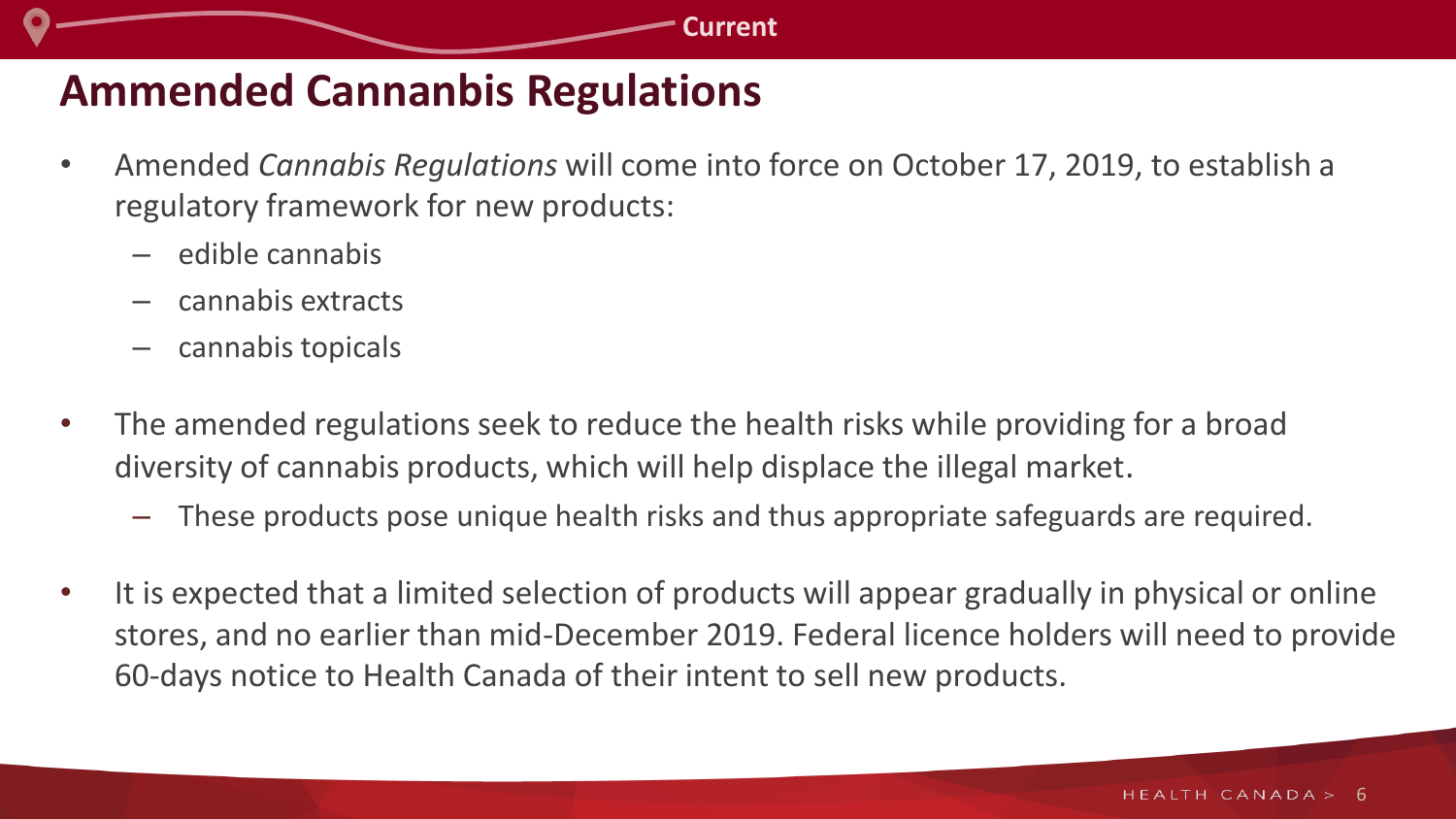## **Ammended Cannanbis Regulations**

- Amended *Cannabis Regulations* will come into force on October 17, 2019, to establish a regulatory framework for new products:
	- edible cannabis
	- cannabis extracts
	- cannabis topicals
- The amended regulations seek to reduce the health risks while providing for a broad diversity of cannabis products, which will help displace the illegal market.
	- These products pose unique health risks and thus appropriate safeguards are required.
- It is expected that a limited selection of products will appear gradually in physical or online stores, and no earlier than mid-December 2019. Federal licence holders will need to provide 60-days notice to Health Canada of their intent to sell new products.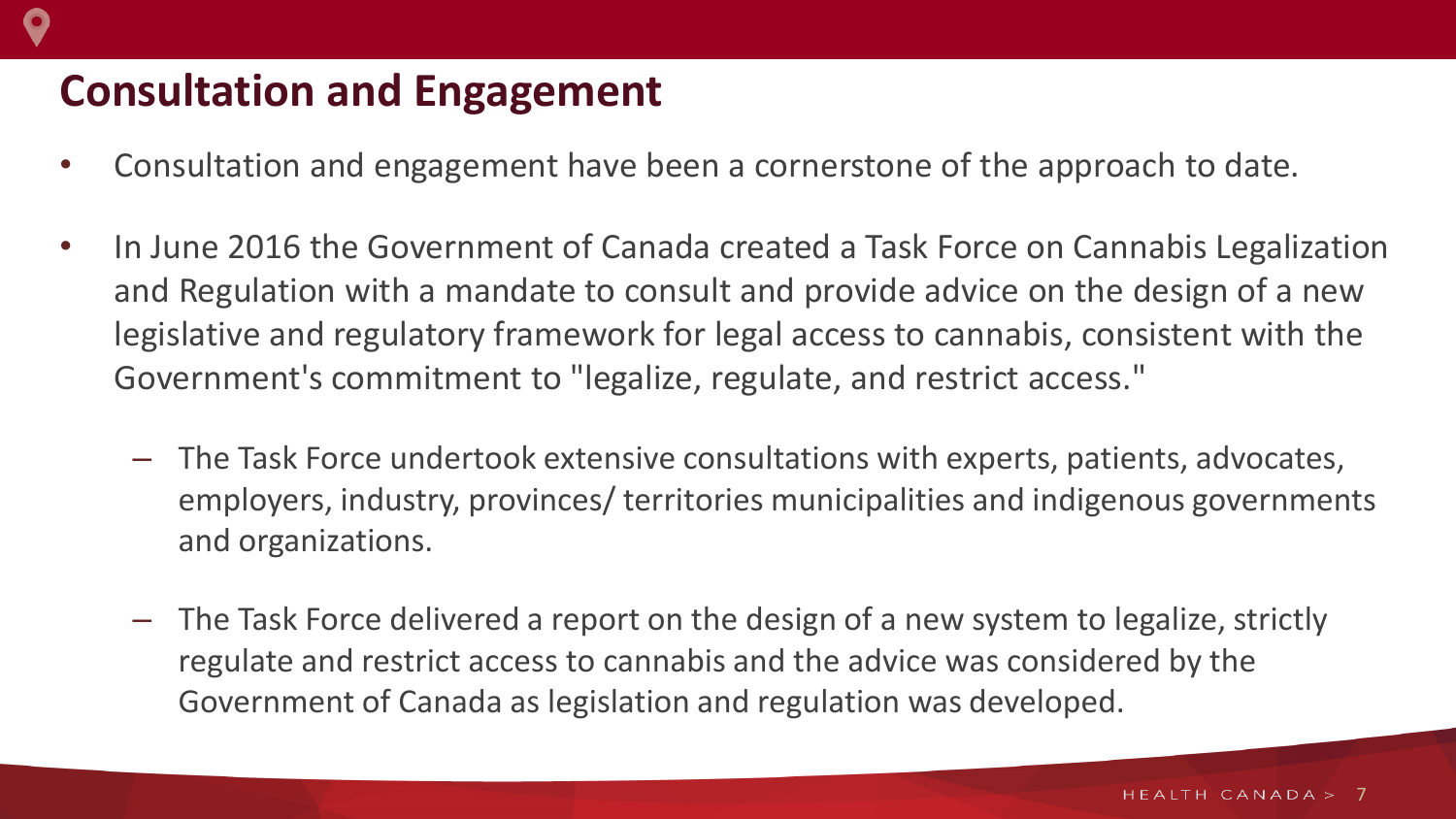## **Consultation and Engagement**

- Consultation and engagement have been a cornerstone of the approach to date.
- In June 2016 the Government of Canada created a Task Force on Cannabis Legalization and Regulation with a mandate to consult and provide advice on the design of a new legislative and regulatory framework for legal access to cannabis, consistent with the Government's commitment to "legalize, regulate, and restrict access."
	- The Task Force undertook extensive consultations with experts, patients, advocates, employers, industry, provinces/ territories municipalities and indigenous governments and organizations.
	- The Task Force delivered a report on the design of a new system to legalize, strictly regulate and restrict access to cannabis and the advice was considered by the Government of Canada as legislation and regulation was developed.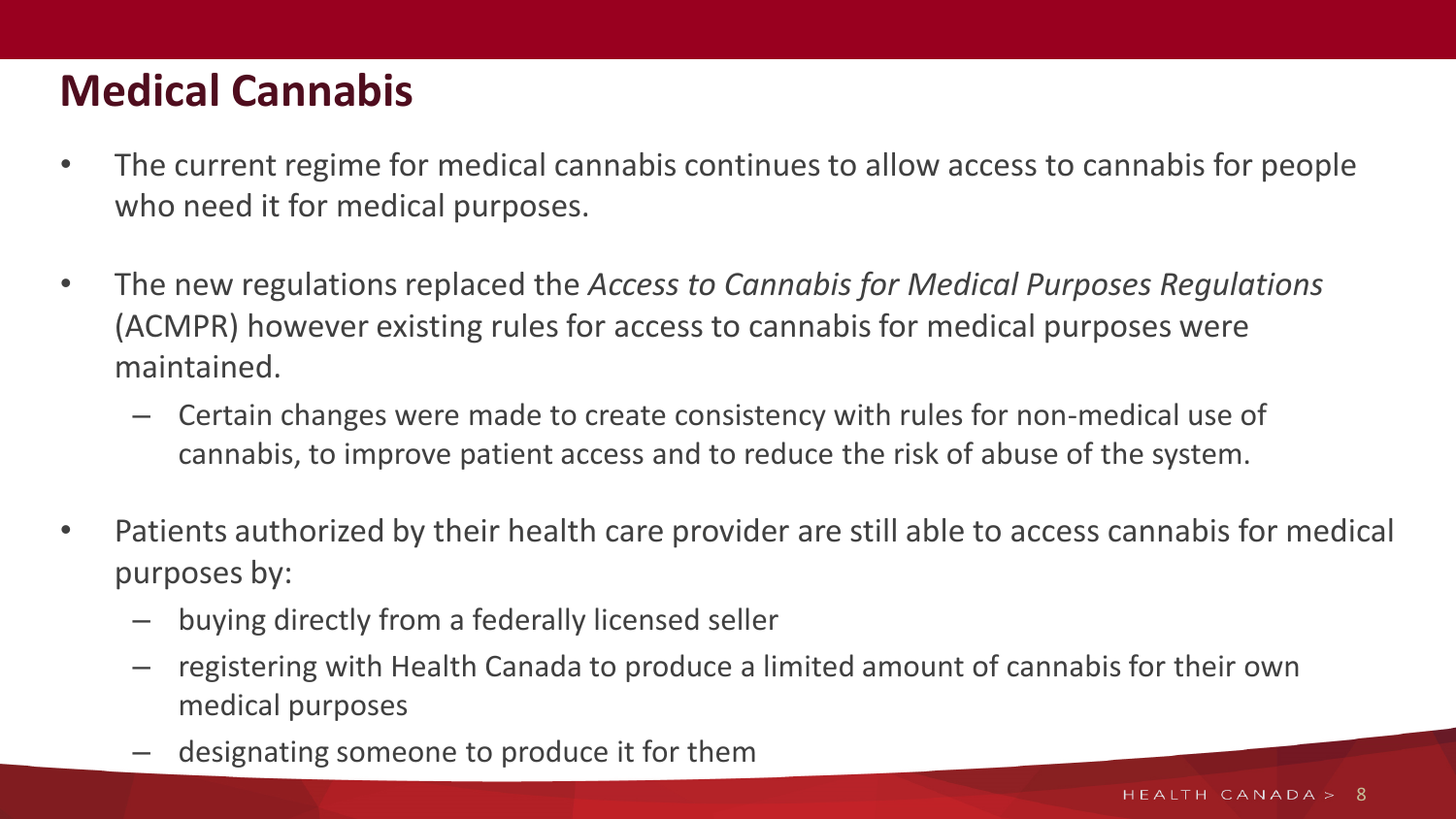## **Medical Cannabis**

- The current regime for medical cannabis continues to allow access to cannabis for people who need it for medical purposes.
- The new regulations replaced the *Access to Cannabis for Medical Purposes Regulations*  (ACMPR) however existing rules for access to cannabis for medical purposes were maintained.
	- Certain changes were made to create consistency with rules for non-medical use of cannabis, to improve patient access and to reduce the risk of abuse of the system.
- Patients authorized by their health care provider are still able to access cannabis for medical purposes by:
	- buying directly from a federally licensed seller
	- registering with Health Canada to produce a limited amount of cannabis for their own medical purposes
	- designating someone to produce it for them